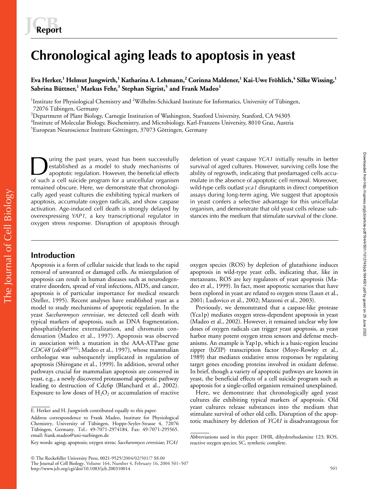# **Chronological aging leads to apoptosis in yeast**

 ${\rm E}$ va Herker, $^1$ Helmut Jungwirth, $^1$  Katharina A. Lehmann, $^2$  Corinna Maldener, $^1$  Kai-Uwe Fröhlich, $^4$  Silke Wissing, $^1$ **Sabrina Büttner,<sup>1</sup> Markus Fehr,<sup>3</sup> Stephan Sigrist,<sup>5</sup> and Frank Madeo<sup>1</sup>**

<sup>1</sup>Institute for Physiological Chemistry and <sup>2</sup>Wilhelm-Schickard Institute for Informatics, University of Tübingen, 72076 Tübingen, Germany

3 Department of Plant Biology, Carnegie Institution of Washington, Stanford University, Stanford, CA 94305

 $\rm ^4$ Institute of Molecular Biology, Biochemistry, and Microbiology, Karl-Franzens University, 8010 Graz, Austria

<sup>5</sup>European Neuroscience Institute Göttingen, 37073 Göttingen, Germany

uring the past years, yeast has been successfully established as a model to study mechanisms of apoptotic regulation. However, the beneficial effects of such a cell suicide program for a unicellular organism remained obscure. Here, we demonstrate that chronologically aged yeast cultures die exhibiting typical markers of apoptosis, accumulate oxygen radicals, and show caspase activation. Age-induced cell death is strongly delayed by overexpressing *YAP1*, a key transcriptional regulator in oxygen stress response. Disruption of apoptosis through

The past years, yeast has been successfully<br>
eletion of yeast caspase *YCA1* initially results in better<br>
ability of aged cultures. However, surviving cells lose the<br>
ability of regrowth, indicating that predamaged cells a survival of aged cultures. However, surviving cells lose the mulate in the absence of apoptotic cell removal. Moreover, wild-type cells outlast *yca1* disruptants in direct competition assays during long-term aging. We suggest that apoptosis in yeast confers a selective advantage for this unicellular organism, and demonstrate that old yeast cells release substances into the medium that stimulate survival of the clone.

# **Introduction**

Apoptosis is a form of cellular suicide that leads to the rapid removal of unwanted or damaged cells. As misregulation of apoptosis can result in human diseases such as neurodegenerative disorders, spread of viral infections, AIDS, and cancer, apoptosis is of particular importance for medical research (Steller, 1995). Recent analyses have established yeast as a model to study mechanisms of apoptotic regulation. In the yeast *Saccharomyces cerevisiae*, we detected cell death with typical markers of apoptosis, such as DNA fragmentation, phosphatidylserine externalization, and chromatin condensation (Madeo et al., 1997). Apoptosis was observed in association with a mutation in the AAA-ATPase gene *CDC48* (*cdc48S565G*; Madeo et al., 1997), whose mammalian orthologue was subsequently implicated in regulation of apoptosis (Shirogane et al., 1999). In addition, several other pathways crucial for mammalian apoptosis are conserved in yeast, e.g., a newly discovered proteasomal apoptotic pathway leading to destruction of Cdc6p (Blanchard et al., 2002). Exposure to low doses of  $H_2O_2$  or accumulation of reactive

 The Rockefeller University Press, 0021-9525/2004/02/501/7 \$8.00 The Journal of Cell Biology, Volume 164, Number 4, February 16, 2004 501–507 http://www.jcb.org/cgi/doi/10.1083/jcb.200310014 501

oxygen species (ROS) by depletion of glutathione induces apoptosis in wild-type yeast cells, indicating that, like in metazoans, ROS are key regulators of yeast apoptosis (Madeo et al., 1999). In fact, most apoptotic scenarios that have been explored in yeast are related to oxygen stress (Laun et al., 2001; Ludovico et al., 2002; Mazzoni et al., 2003).

Previously, we demonstrated that a caspase-like protease (Yca1p) mediates oxygen stress-dependent apoptosis in yeast (Madeo et al., 2002). However, it remained unclear why low doses of oxygen radicals can trigger yeast apoptosis, as yeast harbor many potent oxygen stress sensors and defense mechanisms. An example is Yap1p, which is a basic-region leucine zipper (bZIP) transcription factor (Moye-Rowley et al., 1989) that mediates oxidative stress responses by regulating target genes encoding proteins involved in oxidant defense. In brief, though a variety of apoptotic pathways are known in yeast, the beneficial effects of a cell suicide program such as apoptosis for a single-celled organism remained unexplained.

Here, we demonstrate that chronologically aged yeast cultures die exhibiting typical markers of apoptosis. Old yeast cultures release substances into the medium that stimulate survival of other old cells. Disruption of the apoptotic machinery by deletion of *YCA1* is disadvantageous for Downloaded from http://rupress.org/jcb/article-pdf/164/4/501/1312745/jcb1644501.pdf by guest on 25 June 2022 Downloaded from http://rupress.org/jcb/article-pdf/164/4/501/1312745/jcb1644501.pdf by guest on 25 June 2022

E. Herker and H. Jungwirth contributed equally to this paper.

Address correspondence to Frank Madeo, Institute for Physiological Chemistry, University of Tübingen, Hoppe-Seyler-Strasse 4, 72076 Tübingen, Germany. Tel.: 49-7071-2974184. Fax: 49-7071-295565. email: frank.madeo@uni-tuebingen.de

Key words: aging; apoptosis; oxygen stress; *Saccharomyces cerevisiae*; *YCA1*

Abbreviations used in this paper: DHR, dihydrorhodamine 123; ROS, reactive oxygen species; SC, synthetic complete.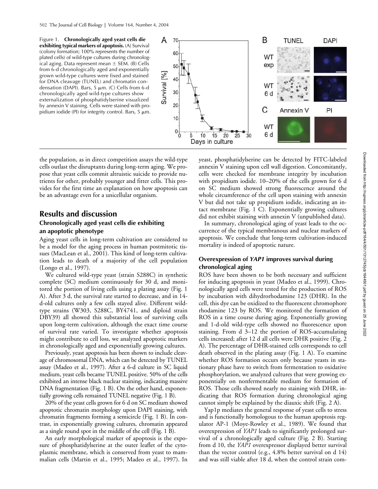Figure 1. **Chronologically aged yeast cells die exhibiting typical markers of apoptosis.** (A) Survival (colony formation; 100% represents the number of plated cells) of wild-type cultures during chronological aging. Data represent mean  $\pm$  SEM. (B) Cells from 6-d chronologically aged and exponentially grown wild-type cultures were fixed and stained for DNA cleavage (TUNEL) and chromatin condensation (DAPI). Bars,  $5 \mu m$ . (C) Cells from 6-d chronologically aged wild-type cultures show externalization of phosphatidylserine visualized by annexin V staining. Cells were stained with propidium iodide (PI) for integrity control. Bars,  $5 \mu m$ .



the population, as in direct competition assays the wild-type cells outlast the disruptants during long-term aging. We propose that yeast cells commit altruistic suicide to provide nutrients for other, probably younger and fitter cells. This provides for the first time an explanation on how apoptosis can be an advantage even for a unicellular organism.

## **Results and discussion**

#### **Chronologically aged yeast cells die exhibiting an apoptotic phenotype**

Aging yeast cells in long-term cultivation are considered to be a model for the aging process in human postmitotic tissues (MacLean et al., 2001). This kind of long-term cultivation leads to death of a majority of the cell population (Longo et al., 1997).

We cultured wild-type yeast (strain S288C) in synthetic complete (SC) medium continuously for 30 d, and monitored the portion of living cells using a plating assay (Fig. 1 A). After 3 d, the survival rate started to decrease, and in 14 d-old cultures only a few cells stayed alive. Different wildtype strains (W303, S288C, BY4741, and diploid strain DBY39) all showed this substantial loss of surviving cells upon long-term cultivation, although the exact time course of survival rate varied. To investigate whether apoptosis might contribute to cell loss, we analyzed apoptotic markers in chronologically aged and exponentially growing cultures.

Previously, yeast apoptosis has been shown to include cleavage of chromosomal DNA, which can be detected by TUNEL assay (Madeo et al., 1997). After a 6-d culture in SC liquid medium, yeast cells became TUNEL positive. 50% of the cells exhibited an intense black nuclear staining, indicating massive DNA fragmentation (Fig. 1 B). On the other hand, exponentially growing cells remained TUNEL negative (Fig. 1 B).

20% of the yeast cells grown for 6 d on SC medium showed apoptotic chromatin morphology upon DAPI staining, with chromatin fragments forming a semicircle (Fig. 1 B). In contrast, in exponentially growing cultures, chromatin appeared as a single round spot in the middle of the cell (Fig. 1 B).

An early morphological marker of apoptosis is the exposure of phosphatidylserine at the outer leaflet of the cytoplasmic membrane, which is conserved from yeast to mammalian cells (Martin et al., 1995; Madeo et al., 1997). In yeast, phosphatidylserine can be detected by FITC-labeled annexin V staining upon cell wall digestion. Concomitantly, cells were checked for membrane integrity by incubation with propidium iodide. 10–20% of the cells grown for 6 d on SC medium showed strong fluorescence around the whole circumference of the cell upon staining with annexin V but did not take up propidium iodide, indicating an intact membrane (Fig. 1 C). Exponentially growing cultures did not exhibit staining with annexin V (unpublished data).

In summary, chronological aging of yeast leads to the occurrence of the typical membranous and nuclear markers of apoptosis. We conclude that long-term cultivation-induced mortality is indeed of apoptotic nature.

#### **Overexpression of** *YAP1* **improves survival during chronological aging**

ROS have been shown to be both necessary and sufficient for inducing apoptosis in yeast (Madeo et al., 1999). Chronologically aged cells were tested for the production of ROS by incubation with dihydrorhodamine 123 (DHR). In the cell, this dye can be oxidized to the fluorescent chromophore rhodamine 123 by ROS. We monitored the formation of ROS in a time course during aging. Exponentially growing and 1-d-old wild-type cells showed no fluorescence upon staining. From d 3–12 the portion of ROS-accumulating cells increased; after 12 d all cells were DHR positive (Fig. 2 A). The percentage of DHR-stained cells corresponds to cell death observed in the plating assay (Fig. 1 A). To examine whether ROS formation occurs only because yeasts in stationary phase have to switch from fermentation to oxidative phosphorylation, we analyzed cultures that were growing exponentially on nonfermentable medium for formation of ROS. Those cells showed nearly no staining with DHR, indicating that ROS formation during chronological aging cannot simply be explained by the diauxic shift (Fig. 2 A).

Yap1p mediates the general response of yeast cells to stress and is functionally homologous to the human apoptosis regulator AP-1 (Moye-Rowley et al., 1989). We found that overexpression of *YAP1* leads to significantly prolonged survival of a chronologically aged culture (Fig. 2 B). Starting from d 10, the *YAP1* overexpressor displayed better survival than the vector control (e.g., 4.8% better survival on d 14) and was still viable after 18 d, when the control strain com-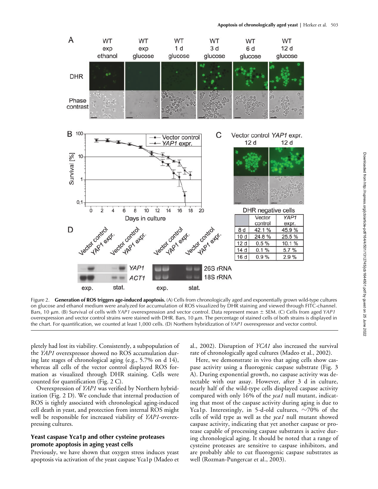

Figure 2. **Generation of ROS triggers age-induced apoptosis.** (A) Cells from chronologically aged and exponentially grown wild-type cultures on glucose and ethanol medium were analyzed for accumulation of ROS visualized by DHR staining and viewed through FITC-channel. Bars, 10  $\mu$ m. (B) Survival of cells with *YAP1* overexpression and vector control. Data represent mean  $\pm$  SEM. (C) Cells from aged *YAP1* overexpression and vector control strains were stained with DHR. Bars, 10  $\mu$ m. The percentage of stained cells of both strains is displayed in the chart. For quantification, we counted at least 1,000 cells. (D) Northern hybridization of *YAP1* overexpressor and vector control.

pletely had lost its viability. Consistently, a subpopulation of the *YAP1* overexpressor showed no ROS accumulation during late stages of chronological aging (e.g., 5.7% on d 14), whereas all cells of the vector control displayed ROS formation as visualized through DHR staining. Cells were counted for quantification (Fig. 2 C).

Overexpression of *YAP1* was verified by Northern hybridization (Fig. 2 D). We conclude that internal production of ROS is tightly associated with chronological aging-induced cell death in yeast, and protection from internal ROS might well be responsible for increased viability of *YAP1*-overexpressing cultures.

#### **Yeast caspase Yca1p and other cysteine proteases promote apoptosis in aging yeast cells**

Previously, we have shown that oxygen stress induces yeast apoptosis via activation of the yeast caspase Yca1p (Madeo et al., 2002). Disruption of *YCA1* also increased the survival rate of chronologically aged cultures (Madeo et al., 2002).

Here, we demonstrate in vivo that aging cells show caspase activity using a fluorogenic caspase substrate (Fig. 3 A). During exponential growth, no caspase activity was detectable with our assay. However, after 3 d in culture, nearly half of the wild-type cells displayed caspase activity compared with only 16% of the *yca1* null mutant, indicating that most of the caspase activity during aging is due to Yca1p. Interestingly, in 5-d-old cultures,  $\sim$ 70% of the cells of wild type as well as the *yca1* null mutant showed caspase activity, indicating that yet another caspase or protease capable of processing caspase substrates is active during chronological aging. It should be noted that a range of cysteine proteases are sensitive to caspase inhibitors, and are probably able to cut fluorogenic caspase substrates as well (Rozman-Pungercar et al., 2003).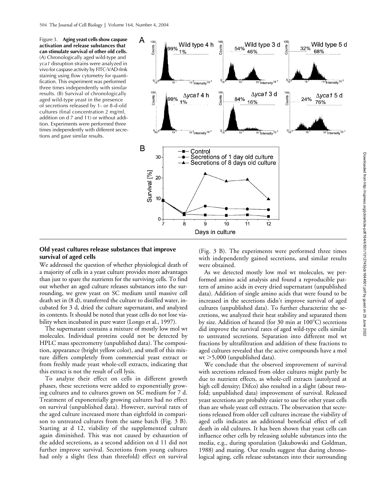Figure 3. **Aging yeast cells show caspase activation and release substances that can stimulate survival of other old cells.** (A) Chronologically aged wild-type and *yca1* disruption strains were analyzed in vivo for caspase activity by FITC-VAD-fmk staining using flow cytometry for quantification. This experiment was performed three times independently with similar results. (B) Survival of chronologically aged wild-type yeast in the presence of secretions released by 1- or 8-d-old cultures (final concentration 2 mg/ml, addition on d 7 and 11) or without addition. Experiments were performed three times independently with different secretions and gave similar results.



#### **Old yeast cultures release substances that improve survival of aged cells**

We addressed the question of whether physiological death of a majority of cells in a yeast culture provides more advantages than just to spare the nutrients for the surviving cells. To find out whether an aged culture releases substances into the surrounding, we grew yeast on SC medium until massive cell death set in (8 d), transferred the culture to distilled water, incubated for 3 d, dried the culture supernatant, and analyzed its contents. It should be noted that yeast cells do not lose viability when incubated in pure water (Longo et al., 1997).

The supernatant contains a mixture of mostly low mol wt molecules. Individual proteins could not be detected by HPLC mass spectrometry (unpublished data). The composition, appearance (bright yellow color), and smell of this mixture differs completely from commercial yeast extract or from freshly made yeast whole-cell extracts, indicating that this extract is not the result of cell lysis.

To analyze their effect on cells in different growth phases, these secretions were added to exponentially growing cultures and to cultures grown on SC medium for 7 d. Treatment of exponentially growing cultures had no effect on survival (unpublished data). However, survival rates of the aged culture increased more than eightfold in comparison to untreated cultures from the same batch (Fig. 3 B). Starting at d 12, viability of the supplemented culture again diminished. This was not caused by exhaustion of the added secretions, as a second addition on d 11 did not further improve survival. Secretions from young cultures had only a slight (less than threefold) effect on survival

(Fig. 3 B). The experiments were performed three times with independently gained secretions, and similar results were obtained.

As we detected mostly low mol wt molecules, we performed amino acid analysis and found a reproducible pattern of amino acids in every dried supernatant (unpublished data). Addition of single amino acids that were found to be increased in the secretions didn't improve survival of aged cultures (unpublished data). To further characterize the secretions, we analyzed their heat stability and separated them by size. Addition of heated (for 30 min at  $100^{\circ}$ C) secretions did improve the survival rates of aged wild-type cells similar to untreated secretions. Separation into different mol wt fractions by ultrafiltration and addition of these fractions to aged cultures revealed that the active compounds have a mol  $wt$   $>$  5,000 (unpublished data).

We conclude that the observed improvement of survival with secretions released from older cultures might partly be due to nutrient effects, as whole-cell extracts (autolyzed at high cell density; Difco) also resulted in a slight (about twofold; unpublished data) improvement of survival. Released yeast secretions are probably easier to use for other yeast cells than are whole yeast cell extracts. The observation that secretions released from older cell cultures increase the viability of aged cells indicates an additional beneficial effect of cell death in old cultures. It has been shown that yeast cells can influence other cells by releasing soluble substances into the media, e.g., during sporulation (Jakubowski and Goldman, 1988) and mating. Our results suggest that during chronological aging, cells release substances into their surrounding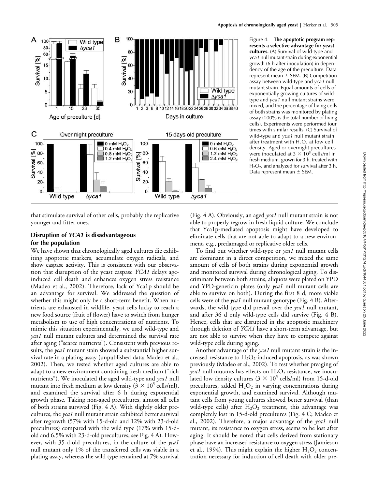

Figure 4. **The apoptotic program represents a selective advantage for yeast cultures.** (A) Survival of wild-type and *yca1* null mutant strain during exponential growth (6 h after inoculation) in dependency of the age of the preculture. Data represent mean  $\pm$  SEM. (B) Competition assay between wild-type and *yca1* null mutant strain. Equal amounts of cells of exponentially growing cultures of wildtype and *yca1* null mutant strains were mixed, and the percentage of living cells of both strains was monitored by plating assay (100% is the total number of living cells). Experiments were performed four times with similar results. (C) Survival of wild-type and *yca1* null mutant strain after treatment with  $H_2O_2$  at low cell density. Aged or overnight precultures were inoculated at  $3 \times 10^5$  cells/ml in fresh medium, grown for 3 h, treated with  $H_2O_2$ , and analyzed for survival after 3 h. Data represent mean  $\pm$  SEM.

that stimulate survival of other cells, probably the replicative younger and fitter ones.

## **Disruption of** *YCA1* **is disadvantageous for the population**

We have shown that chronologically aged cultures die exhibiting apoptotic markers, accumulate oxygen radicals, and show caspase activity. This is consistent with our observation that disruption of the yeast caspase *YCA1* delays ageinduced cell death and enhances oxygen stress resistance (Madeo et al., 2002). Therefore, lack of Yca1p should be an advantage for survival. We addressed the question of whether this might only be a short-term benefit. When nutrients are exhausted in wildlife, yeast cells lucky to reach a new food source (fruit of flower) have to switch from hunger metabolism to use of high concentrations of nutrients. To mimic this situation experimentally, we used wild-type and *yca1* null mutant cultures and determined the survival rate after aging ("scarce nutrients"). Consistent with previous results, the *yca1* mutant stain showed a substantial higher survival rate in a plating assay (unpublished data; Madeo et al., 2002). Then, we tested whether aged cultures are able to adapt to a new environment containing fresh medium ("rich nutrients"). We inoculated the aged wild-type and *yca1* null mutant into fresh medium at low density ( $3\times10^5$  cells/ml), and examined the survival after 6 h during exponential growth phase. Taking non-aged precultures, almost all cells of both strains survived (Fig. 4 A). With slightly older precultures, the *yca1* null mutant strain exhibited better survival after regrowth (57% with 15-d-old and 12% with 23-d-old precultures) compared with the wild type (17% with 15-dold and 6.5% with 23-d-old precultures; see Fig. 4 A). However, with 35-d-old precultures, in the culture of the *yca1* null mutant only 1% of the transferred cells was viable in a plating assay, whereas the wild type remained at 7% survival (Fig. 4 A). Obviously, an aged *yca1* null mutant strain is not able to properly regrow in fresh liquid culture. We conclude that Yca1p-mediated apoptosis might have developed to eliminate cells that are not able to adapt to a new environment, e.g., predamaged or replicative older cells.

To find out whether wild-type or *yca1* null mutant cells are dominant in a direct competition, we mixed the same amount of cells of both strains during exponential growth and monitored survival during chronological aging. To discriminate between both strains, aliquots were plated on YPD and YPD-geneticin plates (only *yca1* null mutant cells are able to survive on both). During the first 8 d, more viable cells were of the *yca1* null mutant genotype (Fig. 4 B). Afterwards, the wild type did prevail over the *yca1* null mutant, and after 36 d only wild-type cells did survive (Fig. 4 B). Hence, cells that are disrupted in the apoptotic machinery through deletion of *YCA1* have a short-term advantage, but are not able to survive when they have to compete against wild-type cells during aging.

Another advantage of the *yca1* null mutant strain is the increased resistance to  $H_2O_2$ -induced apoptosis, as was shown previously (Madeo et al., 2002). To test whether preaging of *yca1* null mutants has effects on  $H_2O_2$  resistance, we inoculated low density cultures ( $3 \times 10^5$  cells/ml) from 15-d-old precultures, added  $H_2O_2$  in varying concentrations during exponential growth, and examined survival. Although mutant cells from young cultures showed better survival (than wild-type cells) after  $H_2O_2$  treatment, this advantage was completely lost in 15-d-old precultures (Fig. 4 C; Madeo et al., 2002). Therefore, a major advantage of the *yca1* null mutant, its resistance to oxygen stress, seems to be lost after aging. It should be noted that cells derived from stationary phase have an increased resistance to oxygen stress (Jamieson et al., 1994). This might explain the higher  $H_2O_2$  concentration necessary for induction of cell death with older pre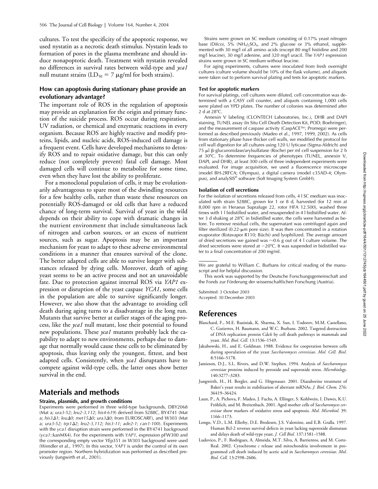cultures. To test the specificity of the apoptotic response, we used nystatin as a necrotic death stimulus. Nystatin leads to formation of pores in the plasma membrane and should induce nonapoptotic death. Treatment with nystatin revealed no differences in survival rates between wild-type and *yca1* null mutant strains (LD<sub>50</sub> = 7  $\mu$ g/ml for both strains).

#### **How can apoptosis during stationary phase provide an evolutionary advantage?**

The important role of ROS in the regulation of apoptosis may provide an explanation for the origin and primary function of the suicide process. ROS occur during respiration, UV radiation, or chemical and enzymatic reactions in every organism. Because ROS are highly reactive and modify proteins, lipids, and nucleic acids, ROS-induced cell damage is a frequent event. Cells have developed mechanisms to detoxify ROS and to repair oxidative damage, but this can only reduce (not completely prevent) fatal cell damage. Most damaged cells will continue to metabolize for some time, even when they have lost the ability to proliferate.

For a monoclonal population of cells, it may be evolutionarily advantageous to spare most of the dwindling resources for a few healthy cells, rather than waste these resources on potentially ROS-damaged or old cells that have a reduced chance of long-term survival. Survival of yeast in the wild depends on their ability to cope with dramatic changes in the nutrient environment that include simultaneous lack of nitrogen and carbon sources, or an excess of nutrient sources, such as sugar. Apoptosis may be an important mechanism for yeast to adapt to these adverse environmental conditions in a manner that ensures survival of the clone. The better adapted cells are able to survive longer with substances released by dying cells. Moreover, death of aging yeast seems to be an active process and not an unavoidable fate. Due to protection against internal ROS via *YAP1* expression or disruption of the yeast caspase *YCA1*, some cells in the population are able to survive significantly longer. However, we also show that the advantage to avoiding cell death during aging turns to a disadvantage in the long run. Mutants that survive better at earlier stages of the aging process, like the *yca1* null mutant, lose their potential to found new populations. These *yca1* mutants probably lack the capability to adapt to new environments, perhaps due to damage that normally would cause these cells to be eliminated by apoptosis, thus leaving only the youngest, fittest, and best adapted cells. Consistently, when *yca1* disruptants have to compete against wild-type cells, the latter ones show better survival in the end.

## **Materials and methods**

#### **Strains, plasmids, and growth conditions**

Experiments were performed in three wild-type backgrounds, DBY2068 (Mat a; *ura3-52*; *leu2-3,112*; *his4-619*) derived from S288C, BY4741 (Mat a; *his31*; *leu0*; *met150*; *ura30*; from EUROSCARF), and W303 (Mat a; *ura3-52*; *trp12*; *leu2-3,112*; *his3-11*; *ade2-1*; *can1-100*). Experiments with the *yca1* disruption strain were performed in the BY4741 background (*yca1*::kanMX4). For the experiments with *YAP1*, expression pFW300 and the corresponding empty vector YEp351 in W303 background were used (Wendler et al., 1997). In this vector, *YAP1* is under the control of its own promoter region. Northern hybridization was performed as described previously (Jungwirth et al., 2001).

Strains were grown on SC medium consisting of 0.17% yeast nitrogen base (Difco),  $5\%$  (NH<sub>4</sub>)<sub>2</sub>SO<sub>4</sub>, and 2% glucose or 3% ethanol, supplemented with 30 mg/l of all amino acids (except 80 mg/l histidine and 200 mg/l leucine), 30 mg/l adenine, and 320 mg/l uracil. The *YAP1* expression strains were grown in SC medium without leucine.

For aging experiments, cultures were inoculated from fresh overnight cultures (culture volume should be 10% of the flask volume), and aliquots were taken out to perform survival plating and tests for apoptotic markers.

#### **Test for apoptotic markers**

For survival platings, cell cultures were diluted, cell concentration was determined with a CASY cell counter, and aliquots containing 1,000 cells were plated on YPD plates. The number of colonies was determined after 2 d at  $28^{\circ}$ C.

Annexin V labeling (CLONTECH Laboratories, Inc.), DHR and DAPI staining, TUNEL assay (In Situ Cell Death Detection Kit, POD; Boehringer), and the measurement of caspase activity (CaspACE™; Promega) were performed as described previously (Madeo et al., 1997, 1999, 2002). As cells from stationary phase have thicker cell walls, we modified the protocol for cell wall digestion for all cultures using 120 U lyticase (Sigma-Aldrich) and  $75 \mu$   $\beta$ -glucuronidase/arylsulfatase (Roche) per ml cell suspension for 2 h at 30°C. To determine frequencies of phenotypes (TUNEL, annexin V, DAPI, and DHR), at least 300 cells of three independent experiments were evaluated. For image acquisition, we used a fluorescence microscope (model BH-2RFCA; Olympus), a digital camera (model c35AD-4; Olympus), and analySIS® software (Soft Imaging System GmbH).

#### **Isolation of cell secretions**

For the isolation of secretions released from cells, 4 l SC medium was inoculated with strain S288C, grown for 1 or 8 d, harvested (for 12 min at 8,000 rpm in Heraeus Suprafuge 22, rotor HFA 12.500), washed three times with 1 l bidistilled water, and resuspended in 4 l bidistilled water. After 3 d shaking at 28°C in bidistilled water, the cells were harvested as before. To remove residual cells, the supernatant was centrifuged again and filter sterilized  $(0.22$ - $\mu$ m pore size). It was then concentrated in a rotation evaporator (Rotavapor R110; Büchi) and lyophilized. The average amount of dried secretions we gained was  $\sim$ 0.6 g out of 4 l culture volume. The dried secretions were stored at -20°C. It was suspended in bidistilled water to a final concentration of 200 mg/ml.

This work was supported by the Deutsche Forschungsgemeinschaft and the Fonds zur Förderung der wissenschaftlichen Forschung (Austria).

Submitted: 3 October 2003 Accepted: 30 December 2003

## **References**

- Blanchard, F., M.E. Rusiniak, K. Sharma, X. Sun, I. Todorov, M.M. Castellano, C. Gutierrez, H. Baumann, and W.C. Burhans. 2002. Targeted destruction of DNA replication protein Cdc6 by cell death pathways in mammals and yeast. *Mol. Biol. Cell.* 13:1536–1549.
- Jakubowski, H., and E. Goldman. 1988. Evidence for cooperation between cells during sporulation of the yeast *Saccharomyces cerevisiae*. *Mol. Cell. Biol.* 8:5166–5178.
- Jamieson, D.J., S.L. Rivers, and D.W. Stephen. 1994. Analysis of *Saccharomyces cerevisiae* proteins induced by peroxide and superoxide stress. *Microbiology*. 140:3277–3283.
- Jungwirth, H., H. Bergler, and G. Högenauer. 2001. Diazaborine treatment of Baker's yeast results in stabilization of aberrant mRNAs. *J. Biol. Chem.* 276: 36419–36424.
- Laun, P., A. Pichova, F. Madeo, J. Fuchs, A. Ellinger, S. Kohlwein, I. Dawes, K.U. Fröhlich, and M. Breitenbach. 2001. Aged mother cells of *Saccharomyces cerevisiae* show markers of oxidative stress and apoptosis. *Mol. Microbiol.* 39: 1166–1173.
- Longo, V.D., L.M. Ellerby, D.E. Bredesen, J.S. Valentine, and E.B. Gralla. 1997. Human Bcl-2 reverses survival defects in yeast lacking superoxide dismutase and delays death of wild-type yeast. *J. Cell Biol.* 137:1581–1588.
- Ludovico, P., F. Rodrigues, A. Almeida, M.T. Silva, A. Barrientos, and M. Corte-Real. 2002. Cytochrome *c* release and mitochondria involvement in programmed cell death induced by acetic acid in *Saccharomyces cerevisiae*. *Mol. Biol. Cell.* 13:2598–2606.

We are grateful to William C. Burhans for critical reading of the manuscript and for helpful discussion.